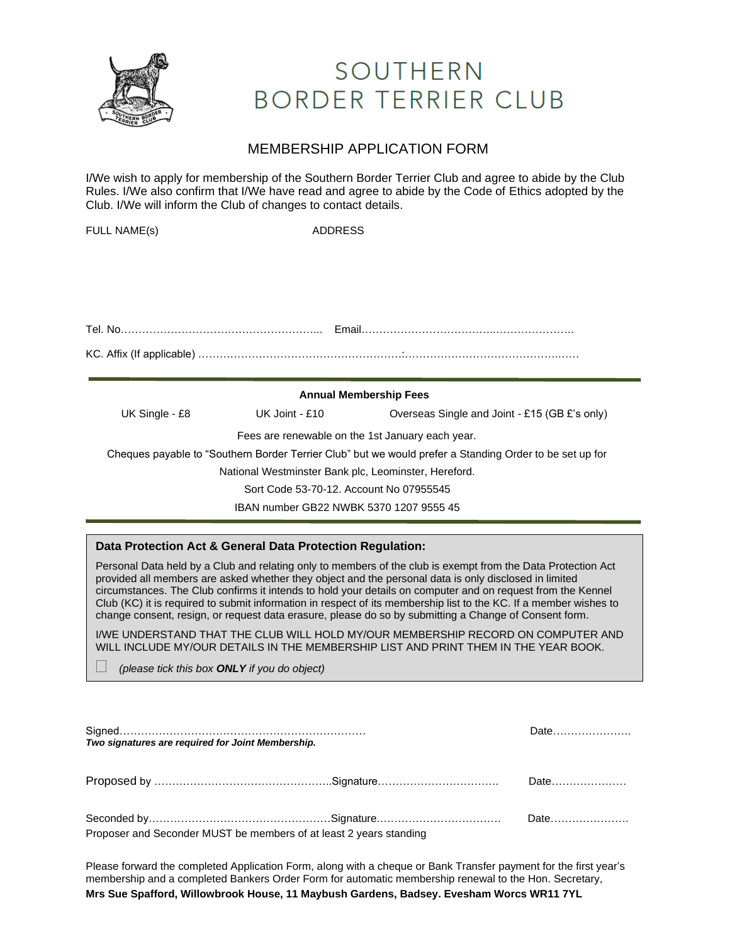

## SOUTHERN **BORDER TERRIER CLUB**

### MEMBERSHIP APPLICATION FORM

I/We wish to apply for membership of the Southern Border Terrier Club and agree to abide by the Club Rules. I/We also confirm that I/We have read and agree to abide by the Code of Ethics adopted by the Club. I/We will inform the Club of changes to contact details.

| <b>FULL NAME(s)</b> | <b>ADDRESS</b>                                       |                                                                                                         |
|---------------------|------------------------------------------------------|---------------------------------------------------------------------------------------------------------|
|                     |                                                      |                                                                                                         |
|                     |                                                      |                                                                                                         |
|                     |                                                      |                                                                                                         |
|                     |                                                      |                                                                                                         |
|                     |                                                      |                                                                                                         |
|                     |                                                      |                                                                                                         |
|                     |                                                      |                                                                                                         |
|                     |                                                      | <b>Annual Membership Fees</b>                                                                           |
| UK Single - £8      | UK Joint - £10                                       | Overseas Single and Joint - £15 (GB £'s only)                                                           |
|                     | Fees are renewable on the 1st January each year.     |                                                                                                         |
|                     |                                                      | Cheques payable to "Southern Border Terrier Club" but we would prefer a Standing Order to be set up for |
|                     | National Westminster Bank plc, Leominster, Hereford. |                                                                                                         |
|                     | Sort Code 53-70-12, Account No 07955545              |                                                                                                         |
|                     | IBAN number GB22 NWBK 5370 1207 9555 45              |                                                                                                         |

#### **Data Protection Act & General Data Protection Regulation:**

Personal Data held by a Club and relating only to members of the club is exempt from the Data Protection Act provided all members are asked whether they object and the personal data is only disclosed in limited circumstances. The Club confirms it intends to hold your details on computer and on request from the Kennel Club (KC) it is required to submit information in respect of its membership list to the KC. If a member wishes to change consent, resign, or request data erasure, please do so by submitting a Change of Consent form.

I/WE UNDERSTAND THAT THE CLUB WILL HOLD MY/OUR MEMBERSHIP RECORD ON COMPUTER AND WILL INCLUDE MY/OUR DETAILS IN THE MEMBERSHIP LIST AND PRINT THEM IN THE YEAR BOOK.

*(please tick this box ONLY if you do object)*

| Two signatures are reguired for Joint Membership.                  | Date |  |
|--------------------------------------------------------------------|------|--|
|                                                                    |      |  |
| Proposer and Seconder MUST be members of at least 2 years standing |      |  |

Please forward the completed Application Form, along with a cheque or Bank Transfer payment for the first year's membership and a completed Bankers Order Form for automatic membership renewal to the Hon. Secretary, **Mrs Sue Spafford, Willowbrook House, 11 Maybush Gardens, Badsey. Evesham Worcs WR11 7YL**